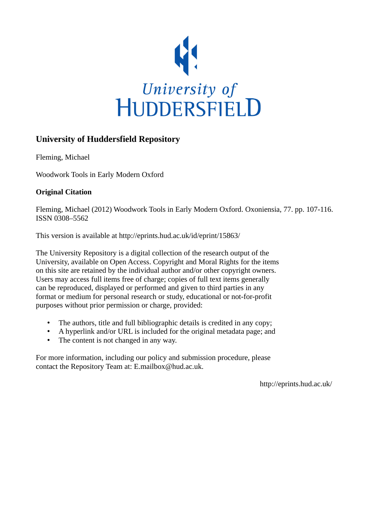

### **University of Huddersfield Repository**

Fleming, Michael

Woodwork Tools in Early Modern Oxford

#### **Original Citation**

Fleming, Michael (2012) Woodwork Tools in Early Modern Oxford. Oxoniensia, 77. pp. 107-116. ISSN 0308–5562

This version is available at http://eprints.hud.ac.uk/id/eprint/15863/

The University Repository is a digital collection of the research output of the University, available on Open Access. Copyright and Moral Rights for the items on this site are retained by the individual author and/or other copyright owners. Users may access full items free of charge; copies of full text items generally can be reproduced, displayed or performed and given to third parties in any format or medium for personal research or study, educational or not-for-profit purposes without prior permission or charge, provided:

- The authors, title and full bibliographic details is credited in any copy;
- A hyperlink and/or URL is included for the original metadata page; and
- The content is not changed in any way.

For more information, including our policy and submission procedure, please contact the Repository Team at: E.mailbox@hud.ac.uk.

http://eprints.hud.ac.uk/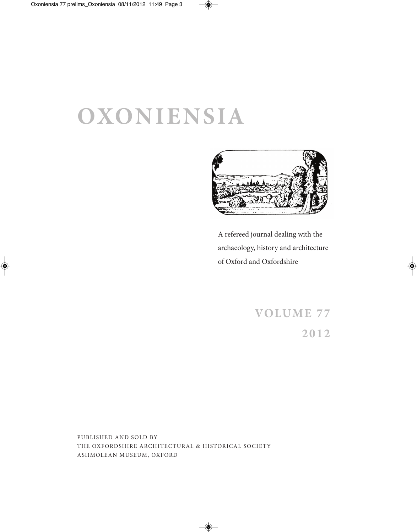# **OXONIENSIA**



A refereed journal dealing with the archaeology, history and architecture of Oxford and Oxfordshire

# **VOLUME 77 2012**

PUBLISHED AND SOLD BY THE OXFORDSHIRE ARCHITECTURAL & HISTORICAL SOCIETY ASHMOLEAN MUSEUM, OXFORD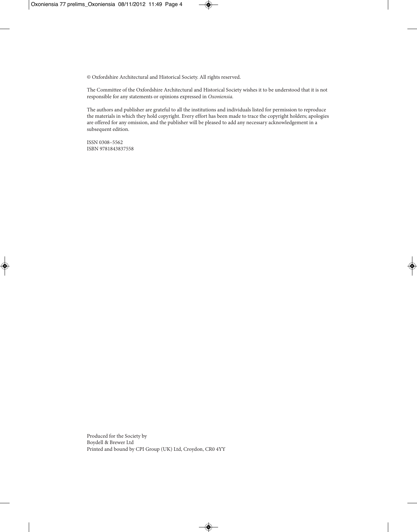© Oxfordshire Architectural and Historical Society. All rights reserved.

The Committee of the Oxfordshire Architectural and Historical Society wishes it to be understood that it is not responsible for any statements or opinions expressed in *Oxoniensia.*

The authors and publisher are grateful to all the institutions and individuals listed for permission to reproduce the materials in which they hold copyright. Every effort has been made to trace the copyright holders; apologies are offered for any omission, and the publisher will be pleased to add any necessary acknowledgement in a subsequent edition.

ISSN 0308–5562 ISBN 9781843837558

Produced for the Society by Boydell & Brewer Ltd Printed and bound by CPI Group (UK) Ltd, Croydon, CR0 4YY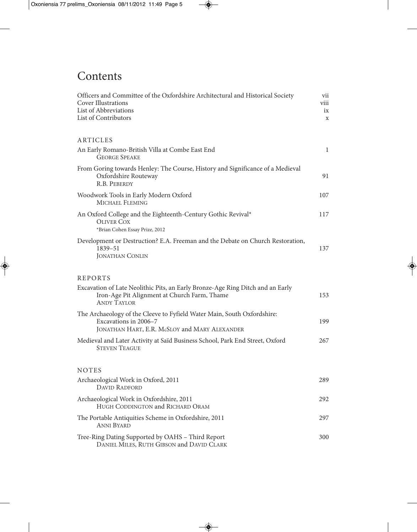# **Contents**

| Officers and Committee of the Oxfordshire Architectural and Historical Society<br><b>Cover Illustrations</b><br>List of Abbreviations<br>List of Contributors |              |  |  |  |
|---------------------------------------------------------------------------------------------------------------------------------------------------------------|--------------|--|--|--|
| ARTICLES                                                                                                                                                      |              |  |  |  |
| An Early Romano-British Villa at Combe East End<br><b>GEORGE SPEAKE</b>                                                                                       | $\mathbf{1}$ |  |  |  |
| From Goring towards Henley: The Course, History and Significance of a Medieval<br>Oxfordshire Routeway<br>R.B. PEBERDY                                        | 91           |  |  |  |
| Woodwork Tools in Early Modern Oxford<br>MICHAEL FLEMING                                                                                                      | 107          |  |  |  |
| An Oxford College and the Eighteenth-Century Gothic Revival*<br>OLIVER COX<br>*Brian Cohen Essay Prize, 2012                                                  | 117          |  |  |  |
| Development or Destruction? E.A. Freeman and the Debate on Church Restoration,<br>1839-51<br><b>JONATHAN CONLIN</b>                                           | 137          |  |  |  |
| <b>REPORTS</b>                                                                                                                                                |              |  |  |  |
| Excavation of Late Neolithic Pits, an Early Bronze-Age Ring Ditch and an Early<br>Iron-Age Pit Alignment at Church Farm, Thame<br><b>ANDY TAYLOR</b>          | 153          |  |  |  |
| The Archaeology of the Cleeve to Fyfield Water Main, South Oxfordshire:<br>Excavations in 2006-7<br>JONATHAN HART, E.R. McSLOY and MARY ALEXANDER             | 199          |  |  |  |
| Medieval and Later Activity at Saïd Business School, Park End Street, Oxford<br><b>STEVEN TEAGUE</b>                                                          | 267          |  |  |  |
| <b>NOTES</b>                                                                                                                                                  |              |  |  |  |
| Archaeological Work in Oxford, 2011<br><b>DAVID RADFORD</b>                                                                                                   | 289          |  |  |  |
| Archaeological Work in Oxfordshire, 2011<br>HUGH CODDINGTON and RICHARD ORAM                                                                                  | 292          |  |  |  |
| The Portable Antiquities Scheme in Oxfordshire, 2011<br><b>ANNI BYARD</b>                                                                                     | 297          |  |  |  |
| Tree-Ring Dating Supported by OAHS - Third Report<br>DANIEL MILES, RUTH GIBSON and DAVID CLARK                                                                | 300          |  |  |  |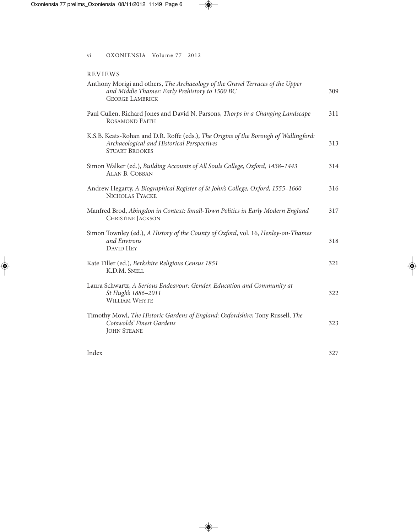#### REVIEWS

| Anthony Morigi and others, The Archaeology of the Gravel Terraces of the Upper<br>and Middle Thames: Early Prehistory to 1500 BC<br><b>GEORGE LAMBRICK</b>  | 309 |
|-------------------------------------------------------------------------------------------------------------------------------------------------------------|-----|
| Paul Cullen, Richard Jones and David N. Parsons, Thorps in a Changing Landscape<br><b>ROSAMOND FAITH</b>                                                    | 311 |
| K.S.B. Keats-Rohan and D.R. Roffe (eds.), The Origins of the Borough of Wallingford:<br>Archaeological and Historical Perspectives<br><b>STUART BROOKES</b> | 313 |
| Simon Walker (ed.), Building Accounts of All Souls College, Oxford, 1438-1443<br><b>ALAN B. COBBAN</b>                                                      | 314 |
| Andrew Hegarty, A Biographical Register of St John's College, Oxford, 1555-1660<br>NICHOLAS TYACKE                                                          | 316 |
| Manfred Brod, Abingdon in Context: Small-Town Politics in Early Modern England<br><b>CHRISTINE JACKSON</b>                                                  | 317 |
| Simon Townley (ed.), A History of the County of Oxford, vol. 16, Henley-on-Thames<br>and Environs<br><b>DAVID HEY</b>                                       | 318 |
| Kate Tiller (ed.), Berkshire Religious Census 1851<br>K.D.M. SNELL                                                                                          | 321 |
| Laura Schwartz, A Serious Endeavour: Gender, Education and Community at<br>St Hugh's 1886-2011<br><b>WILLIAM WHYTE</b>                                      | 322 |
| Timothy Mowl, The Historic Gardens of England: Oxfordshire; Tony Russell, The<br>Cotswolds' Finest Gardens<br><b>JOHN STEANE</b>                            | 323 |
| Index                                                                                                                                                       | 327 |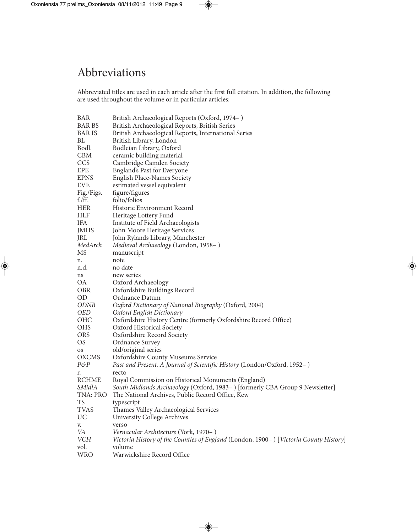# Abbreviations

Abbreviated titles are used in each article after the first full citation. In addition, the following are used throughout the volume or in particular articles:

| BAR           | British Archaeological Reports (Oxford, 1974–)                                        |
|---------------|---------------------------------------------------------------------------------------|
| <b>BAR BS</b> | British Archaeological Reports, British Series                                        |
| BAR IS        | British Archaeological Reports, International Series                                  |
| BL            | British Library, London                                                               |
| Bodl.         | Bodleian Library, Oxford                                                              |
| <b>CBM</b>    | ceramic building material                                                             |
| <b>CCS</b>    | Cambridge Camden Society                                                              |
| EPE           | England's Past for Everyone                                                           |
| <b>EPNS</b>   | English Place-Names Society                                                           |
| <b>EVE</b>    | estimated vessel equivalent                                                           |
| Fig./Figs.    | figure/figures                                                                        |
| $f$ ./ff.     | folio/folios                                                                          |
| HER           | Historic Environment Record                                                           |
| HLF           | Heritage Lottery Fund                                                                 |
| <b>IFA</b>    | Institute of Field Archaeologists                                                     |
| JMHS          | John Moore Heritage Services                                                          |
| JRL           | John Rylands Library, Manchester                                                      |
| MedArch       | Medieval Archaeology (London, 1958–)                                                  |
| MS            | manuscript                                                                            |
| n.            | note                                                                                  |
| n.d.          | no date                                                                               |
| ns            | new series                                                                            |
| ОA            | Oxford Archaeology                                                                    |
| OBR           | Oxfordshire Buildings Record                                                          |
| <b>OD</b>     | Ordnance Datum                                                                        |
| ODNB          | Oxford Dictionary of National Biography (Oxford, 2004)                                |
| <b>OED</b>    | Oxford English Dictionary                                                             |
| OHC           | Oxfordshire History Centre (formerly Oxfordshire Record Office)                       |
| <b>OHS</b>    | Oxford Historical Society                                                             |
| <b>ORS</b>    | Oxfordshire Record Society                                                            |
| OS            | Ordnance Survey                                                                       |
| <b>OS</b>     | old/original series                                                                   |
| <b>OXCMS</b>  | <b>Oxfordshire County Museums Service</b>                                             |
| P&P           | Past and Present. A Journal of Scientific History (London/Oxford, 1952–)              |
| r.            | recto                                                                                 |
| RCHME         | Royal Commission on Historical Monuments (England)                                    |
| SMidlA        | South Midlands Archaeology (Oxford, 1983-) [formerly CBA Group 9 Newsletter]          |
| TNA: PRO      | The National Archives, Public Record Office, Kew                                      |
| TS            | typescript                                                                            |
| TVAS          | Thames Valley Archaeological Services                                                 |
| UC            | <b>University College Archives</b>                                                    |
| V.            | verso                                                                                 |
| VA            | Vernacular Architecture (York, 1970–)                                                 |
| VCH           | Victoria History of the Counties of England (London, 1900–) [Victoria County History] |
| vol.          | volume                                                                                |
| <b>WRO</b>    | Warwickshire Record Office                                                            |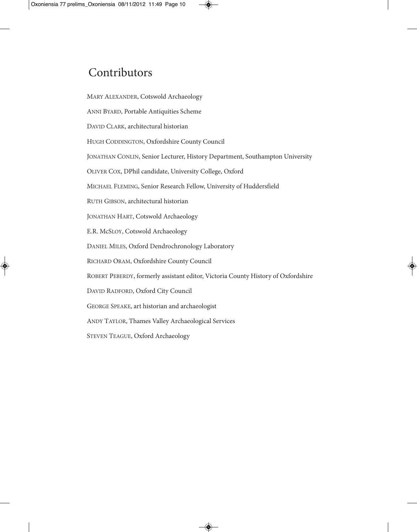# Contributors

MARY ALEXANDER, Cotswold Archaeology

ANNI BYARD, Portable Antiquities Scheme

DAVID CLARK, architectural historian

HUGH CODDINGTON, Oxfordshire County Council

JONATHAN CONLIN, Senior Lecturer, History Department, Southampton University

OLIVER COX, DPhil candidate, University College, Oxford

MICHAEL FLEMING, Senior Research Fellow, University of Huddersfield

RUTH GIBSON, architectural historian

JONATHAN HART, Cotswold Archaeology

E.R. McSLOY, Cotswold Archaeology

DANIEL MILES, Oxford Dendrochronology Laboratory

RICHARD ORAM, Oxfordshire County Council

ROBERT PEBERDY, formerly assistant editor, Victoria County History of Oxfordshire

DAVID RADFORD, Oxford City Council

GEORGE SPEAKE, art historian and archaeologist

ANDY TAYLOR, Thames Valley Archaeological Services

STEVEN TEAGUE, Oxford Archaeology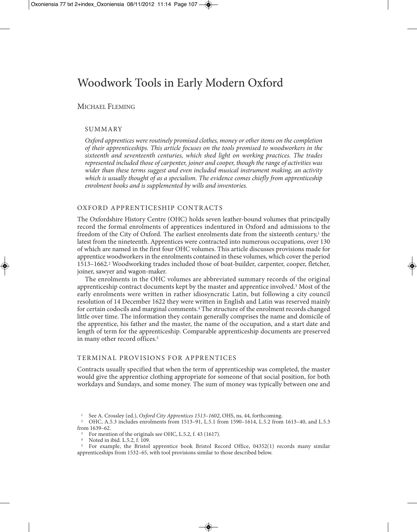## Woodwork Tools in Early Modern Oxford

#### MICHAEL FLEMING

#### **SUMMARY**

*Oxford apprentices were routinely promised clothes, money or other items on the completion of their apprenticeships. This article focuses on the tools promised to woodworkers in the sixteenth and seventeenth centuries, which shed light on working practices. The trades represented included those of carpenter, joiner and cooper, though the range of activities was wider than these terms suggest and even included musical instrument making, an activity which is usually thought of as a specialism. The evidence comes chiefly from apprenticeship enrolment books and is supplemented by wills and inventories.* 

#### OXFORD APPRENTICESHIP CONTRACTS

The Oxfordshire History Centre (OHC) holds seven leather-bound volumes that principally record the formal enrolments of apprentices indentured in Oxford and admissions to the freedom of the City of Oxford. The earliest enrolments date from the sixteenth century, $\frac{1}{1}$  the latest from the nineteenth. Apprentices were contracted into numerous occupations, over 130 of which are named in the first four OHC volumes. This article discusses provisions made for apprentice woodworkers in the enrolments contained in these volumes, which cover the period 1513–1662.2 Woodworking trades included those of boat-builder, carpenter, cooper, fletcher, joiner, sawyer and wagon-maker.

The enrolments in the OHC volumes are abbreviated summary records of the original apprenticeship contract documents kept by the master and apprentice involved.3 Most of the early enrolments were written in rather idiosyncratic Latin, but following a city council resolution of 14 December 1622 they were written in English and Latin was reserved mainly for certain codocils and marginal comments.4 The structure of the enrolment records changed little over time. The information they contain generally comprises the name and domicile of the apprentice, his father and the master, the name of the occupation, and a start date and length of term for the apprenticeship. Comparable apprenticeship documents are preserved in many other record offices.<sup>5</sup>

#### TERMINAL PROVISIONS FOR APPRENTICES

Contracts usually specified that when the term of apprenticeship was completed, the master would give the apprentice clothing appropriate for someone of that social position, for both workdays and Sundays, and some money. The sum of money was typically between one and

<sup>4</sup> Noted in ibid. L.5.2, f. 109.

<sup>5</sup> For example, the Bristol apprentice book Bristol Record Office, 04352(1) records many similar apprenticeships from 1532–65, with tool provisions similar to those described below.

<sup>1</sup> See A. Crossley (ed.), *Oxford City Apprentices 1513–1602*, OHS, ns, 44, forthcoming.

<sup>2</sup> OHC, A.5.3 includes enrolments from 1513–91, L.5.1 from 1590–1614, L.5.2 from 1613–40, and L.5.3 from 1639–62.

<sup>&</sup>lt;sup>3</sup> For mention of the originals see OHC, L.5.2, f. 43 (1617).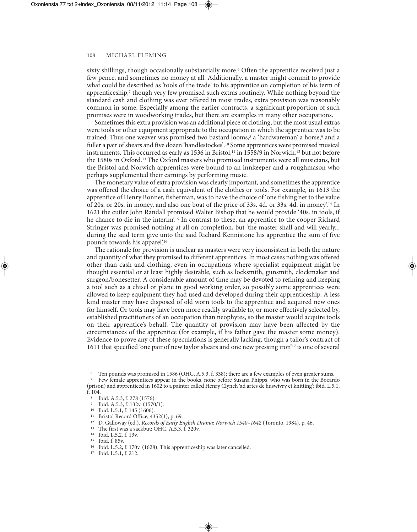sixty shillings, though occasionally substantially more.<sup>6</sup> Often the apprentice received just a few pence, and sometimes no money at all. Additionally, a master might commit to provide what could be described as 'tools of the trade' to his apprentice on completion of his term of apprenticeship,7 though very few promised such extras routinely. While nothing beyond the standard cash and clothing was ever offered in most trades, extra provision was reasonably common in some. Especially among the earlier contracts, a significant proportion of such promises were in woodworking trades, but there are examples in many other occupations.

Sometimes this extra provision was an additional piece of clothing, but the most usual extras were tools or other equipment appropriate to the occupation in which the apprentice was to be trained. Thus one weaver was promised two bastard looms,<sup>8</sup> a 'hardwareman' a horse,<sup>9</sup> and a fuller a pair of shears and five dozen 'handlestockes'.10 Some apprentices were promised musical instruments. This occurred as early as 1536 in Bristol,<sup>11</sup> in 1558/9 in Norwich,<sup>12</sup> but not before the 1580s in Oxford.13 The Oxford masters who promised instruments were all musicians, but the Bristol and Norwich apprentices were bound to an innkeeper and a roughmason who perhaps supplemented their earnings by performing music.

The monetary value of extra provision was clearly important, and sometimes the apprentice was offered the choice of a cash equivalent of the clothes or tools. For example, in 1613 the apprentice of Henry Bonner, fisherman, was to have the choice of 'one fishing net to the value of 20s. or 20s. in money, and also one boat of the price of 33s. 4d. or 33s. 4d. in money'.14 In 1621 the cutler John Randall promised Walter Bishop that he would provide '40s. in tools, if he chance to die in the interim'.<sup>15</sup> In contrast to these, an apprentice to the cooper Richard Stringer was promised nothing at all on completion, but 'the master shall and will yearly... during the said term give unto the said Richard Kennistone his apprentice the sum of five pounds towards his apparel'.16

The rationale for provision is unclear as masters were very inconsistent in both the nature and quantity of what they promised to different apprentices. In most cases nothing was offered other than cash and clothing, even in occupations where specialist equipment might be thought essential or at least highly desirable, such as locksmith, gunsmith, clockmaker and surgeon/bonesetter. A considerable amount of time may be devoted to refining and keeping a tool such as a chisel or plane in good working order, so possibly some apprentices were allowed to keep equipment they had used and developed during their apprenticeship. A less kind master may have disposed of old worn tools to the apprentice and acquired new ones for himself. Or tools may have been more readily available to, or more effectively selected by, established practitioners of an occupation than neophytes, so the master would acquire tools on their apprentice's behalf. The quantity of provision may have been affected by the circumstances of the apprentice (for example, if his father gave the master some money). Evidence to prove any of these speculations is generally lacking, though a tailor's contract of 1611 that specified 'one pair of new taylor shears and one new pressing iron'17 is one of several

Ten pounds was promised in 1586 (OHC, A.5.3, f. 338); there are a few examples of even greater sums.<br>Few female apprentices appear in the books, none before Susana Phipps, who was born in the Bocardo

(prison) and apprenticed in 1602 to a painter called Henry Clynch 'ad artes de huswivry et knitting': ibid. L.5.1, f. 104.

- <sup>8</sup> Ibid. A.5.3, f. 278 (1576).
- <sup>9</sup> Ibid. A.5.3, f. 132v. (1570/1).
- <sup>10</sup> Ibid. L.5.1, f. 145 (1606).
- <sup>11</sup> Bristol Record Office, 4352(1), p. 69.
- <sup>12</sup> D. Galloway (ed.), *Records of Early English Drama*: *Norwich 1540–1642* (Toronto, 1984), p. 46.
- <sup>13</sup> The first was a sackbut: OHC, A.5.3, f. 320v.
- <sup>14</sup> Ibid. L.5.2, f. 13v.
- <sup>15</sup> Ibid. f. 85v.
- <sup>16</sup> Ibid. L.5.2, f. 170v. (1628). This apprenticeship was later cancelled.
- <sup>17</sup> Ibid. L.5.1, f. 212.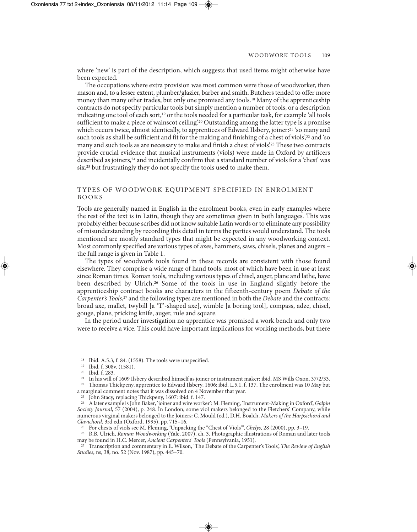where 'new' is part of the description, which suggests that used items might otherwise have been expected.

The occupations where extra provision was most common were those of woodworker, then mason and, to a lesser extent, plumber/glazier, barber and smith. Butchers tended to offer more money than many other trades, but only one promised any tools.18 Many of the apprenticeship contracts do not specify particular tools but simply mention a number of tools, or a description indicating one tool of each sort,19 or the tools needed for a particular task, for example 'all tools sufficient to make a piece of wainscot ceiling.<sup>20</sup> Outstanding among the latter type is a promise which occurs twice, almost identically, to apprentices of Edward Ilsbery, joiner:<sup>21</sup> 'so many and such tools as shall be sufficient and fit for the making and finishing of a chest of viols',<sup>22</sup> and 'so many and such tools as are necessary to make and finish a chest of viols'.23 These two contracts provide crucial evidence that musical instruments (viols) were made in Oxford by artificers described as joiners,24 and incidentally confirm that a standard number of viols for a 'chest' was six,<sup>25</sup> but frustratingly they do not specify the tools used to make them.

#### TYPES OF WOODWORK EQUIPMENT SPECIFIED IN ENROLMENT BOOKS

Tools are generally named in English in the enrolment books, even in early examples where the rest of the text is in Latin, though they are sometimes given in both languages. This was probably either because scribes did not know suitable Latin words or to eliminate any possibility of misunderstanding by recording this detail in terms the parties would understand. The tools mentioned are mostly standard types that might be expected in any woodworking context. Most commonly specified are various types of axes, hammers, saws, chisels, planes and augers – the full range is given in Table 1.

The types of woodwork tools found in these records are consistent with those found elsewhere. They comprise a wide range of hand tools, most of which have been in use at least since Roman times. Roman tools, including various types of chisel, auger, plane and lathe, have been described by Ulrich.26 Some of the tools in use in England slightly before the apprenticeship contract books are characters in the fifteenth-century poem *Debate of the Carpenter's Tools*, <sup>27</sup> and the following types are mentioned in both the *Debate* and the contracts: broad axe, mallet, twybill [a 'T'-shaped axe], wimble [a boring tool], compass, adze, chisel, gouge, plane, pricking knife, auger, rule and square.

In the period under investigation no apprentice was promised a work bench and only two were to receive a vice. This could have important implications for working methods, but there

<sup>26</sup> R.B. Ulrich, *Roman Woodworking* (Yale, 2007), ch. 3. Photographic illustrations of Roman and later tools may be found in H.C. Mercer, *Ancient Carpenters' Tools* (Pennsylvania, 1951).

<sup>27</sup> Transcription and commentary in E. Wilson, 'The Debate of the Carpenter's Tools', *The Review of English Studies*, ns, 38, no. 52 (Nov. 1987), pp. 445–70.

<sup>18</sup> Ibid. A.5.3, f. 84. (1558). The tools were unspecified.

<sup>19</sup> Ibid. f. 308v. (1581). 20 Ibid. f. 283.

<sup>21</sup> In his will of 1609 Ilsbery described himself as joiner or instrument maker: ibid. MS Wills Oxon, 37/2/33. <sup>22</sup> Thomas Thickpeny, apprentice to Edward Ilsbery, 1606: ibid. L.5.1, f. 137. The enrolment was 10 May but

a marginal comment notes that it was dissolved on 4 November that year.

<sup>23</sup> John Stacy, replacing Thickpeny, 1607: ibid. f. 147.

<sup>24</sup> A later example is John Baker, 'joiner and wire worker': M. Fleming, 'Instrument-Making in Oxford', *Galpin Society Journal*, 57 (2004), p. 248. In London, some viol makers belonged to the Fletchers' Company, while numerous virginal makers belonged to the Joiners: C. Mould (ed.), D.H. Boalch, *Makers of the Harpsichord and Clavichord*, 3rd edn (Oxford, 1995), pp. 715–16.

<sup>25</sup> For chests of viols see M. Fleming, 'Unpacking the "Chest of Viols"', *Chelys*, 28 (2000), pp. 3*–*19.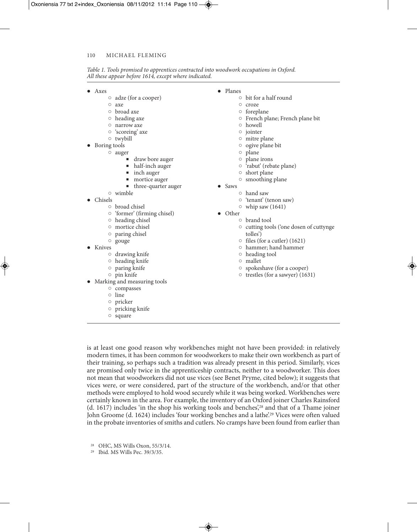| Table 1. Tools promised to apprentices contracted into woodwork occupations in Oxford. |  |  |
|----------------------------------------------------------------------------------------|--|--|
| All these appear before 1614, except where indicated.                                  |  |  |

- Axes
	- adze (for a cooper)
	- $Q = 3xe$
	- broad axe
	- heading axe
	- narrow axe
	- 'scoreing' axe
	- twybill
- Boring tools
	- auger
		- draw bore auger
		- half-inch auger
		- inch auger
		- mortice auger
		- three-quarter auger
		- wimble
- Chisels
	- broad chisel
	- 'former' (firming chisel)
	- heading chisel
	- mortice chisel
	- paring chisel
	- gouge
- Knives
	- drawing knife
	- heading knife
	- paring knife
	- pin knife
- Marking and measuring tools
	- compasses
	- line
	- pricker
	- pricking knife
	- square
- Planes
	- bit for a half round
	- croze
		- foreplane
		- French plane; French plane bit
		- howell
		- jointer
		- mitre plane
		- ogive plane bit
		- plane
		- plane irons
		- 'rabut' (rebate plane)
		- short plane
		- smoothing plane
- Saws
	- hand saw
		- 'tenant' (tenon saw)
		- $\circ$  whip saw (1641)
- Other
	- brand tool
		- cutting tools ('one dosen of cuttynge tolles')
		- files (for a cutler) (1621)
		- hammer; hand hammer
	- heading tool
	- mallet
	- spokeshave (for a cooper)
	- trestles (for a sawyer) (1631)

is at least one good reason why workbenches might not have been provided: in relatively modern times, it has been common for woodworkers to make their own workbench as part of their training, so perhaps such a tradition was already present in this period. Similarly, vices are promised only twice in the apprenticeship contracts, neither to a woodworker. This does not mean that woodworkers did not use vices (see Benet Pryme, cited below); it suggests that vices were, or were considered, part of the structure of the workbench, and/or that other methods were employed to hold wood securely while it was being worked. Workbenches were certainly known in the area. For example, the inventory of an Oxford joiner Charles Rainsford (d. 1617) includes 'in the shop his working tools and benches',28 and that of a Thame joiner John Groome (d. 1624) includes 'four working benches and a lathe'.<sup>29</sup> Vices were often valued in the probate inventories of smiths and cutlers. No cramps have been found from earlier than

<sup>28</sup> OHC, MS Wills Oxon, 55/3/14.

<sup>29</sup> Ibid. MS Wills Pec. 39/3/35.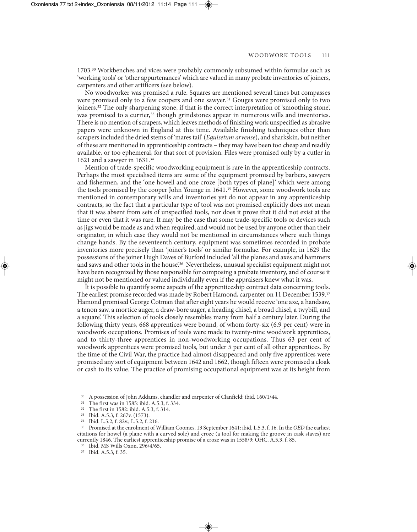1703.30 Workbenches and vices were probably commonly subsumed within formulae such as 'working tools' or 'other appurtenances' which are valued in many probate inventories of joiners, carpenters and other artificers (see below).

No woodworker was promised a rule. Squares are mentioned several times but compasses were promised only to a few coopers and one sawyer.<sup>31</sup> Gouges were promised only to two joiners.32 The only sharpening stone, if that is the correct interpretation of 'smoothing stone', was promised to a currier,<sup>33</sup> though grindstones appear in numerous wills and inventories. There is no mention of scrapers, which leaves methods of finishing work unspecified as abrasive papers were unknown in England at this time. Available finishing techniques other than scrapers included the dried stems of 'mares tail' (*Equisetum arvense*), and sharkskin, but neither of these are mentioned in apprenticeship contracts – they may have been too cheap and readily available, or too ephemeral, for that sort of provision. Files were promised only by a cutler in 1621 and a sawyer in 1631.34

Mention of trade-specific woodworking equipment is rare in the apprenticeship contracts. Perhaps the most specialised items are some of the equipment promised by barbers, sawyers and fishermen, and the 'one howell and one croze [both types of plane]' which were among the tools promised by the cooper John Younge in 1641.35 However, some woodwork tools are mentioned in contemporary wills and inventories yet do not appear in any apprenticeship contracts, so the fact that a particular type of tool was not promised explicitly does not mean that it was absent from sets of unspecified tools, nor does it prove that it did not exist at the time or even that it was rare. It may be the case that some trade-specific tools or devices such as jigs would be made as and when required, and would not be used by anyone other than their originator, in which case they would not be mentioned in circumstances where such things change hands. By the seventeenth century, equipment was sometimes recorded in probate inventories more precisely than 'joiner's tools' or similar formulae. For example, in 1629 the possessions of the joiner Hugh Daves of Burford included 'all the planes and axes and hammers and saws and other tools in the house.<sup>36</sup> Nevertheless, unusual specialist equipment might not have been recognized by those responsible for composing a probate inventory, and of course it might not be mentioned or valued individually even if the appraisers knew what it was.

It is possible to quantify some aspects of the apprenticeship contract data concerning tools. The earliest promise recorded was made by Robert Hamond, carpenter on 11 December 1539.37 Hamond promised George Cotman that after eight years he would receive 'one axe, a handsaw, a tenon saw, a mortice auger, a draw-bore auger, a heading chisel, a broad chisel, a twybill, and a square'. This selection of tools closely resembles many from half a century later. During the following thirty years, 668 apprentices were bound, of whom forty-six (6.9 per cent) were in woodwork occupations. Promises of tools were made to twenty-nine woodwork apprentices, and to thirty-three apprentices in non-woodworking occupations. Thus 63 per cent of woodwork apprentices were promised tools, but under 5 per cent of all other apprentices. By the time of the Civil War, the practice had almost disappeared and only five apprentices were promised any sort of equipment between 1642 and 1662, though fifteen were promised a cloak or cash to its value. The practice of promising occupational equipment was at its height from

<sup>35</sup> Promised at the enrolment of William Coomes, 13 September 1641: ibid. L.5.3, f. 16. In the *OED* the earliest citations for howel (a plane with a curved sole) and croze (a tool for making the groove in cask staves) are currently 1846. The earliest apprenticeship promise of a croze was in 1558/9: OHC, A.5.3, f. 85.

<sup>37</sup> Ibid. A.5.3, f. 35.

<sup>30</sup> A possession of John Addams, chandler and carpenter of Clanfield: ibid. 160/1/44.

<sup>31</sup> The first was in 1585: ibid. A.5.3, f. 334.

<sup>32</sup> The first in 1582: ibid. A.5.3, f. 314.

<sup>33</sup> Ibid. A.5.3, f. 267v. (1573).

<sup>34</sup> Ibid. L.5.2, f. 82v.; L.5.2, f. 216.

<sup>36</sup> Ibid. MS Wills Oxon, 296/4/65.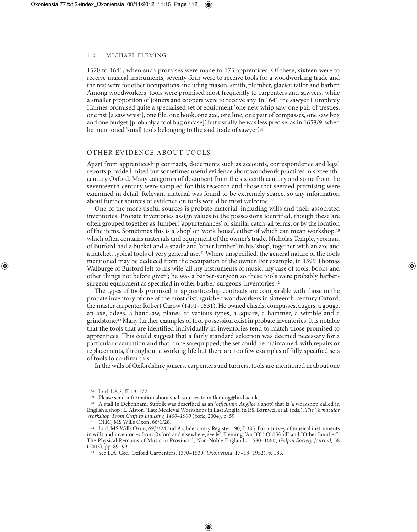1570 to 1641, when such promises were made to 175 apprentices. Of these, sixteen were to receive musical instruments, seventy-four were to receive tools for a woodworking trade and the rest were for other occupations, including mason, smith, plumber, glazier, tailor and barber. Among woodworkers, tools were promised most frequently to carpenters and sawyers, while a smaller proportion of joiners and coopers were to receive any. In 1641 the sawyer Humphrey Hannes promised quite a specialised set of equipment 'one new whip saw, one pair of trestles, one rist [a saw wrest], one file, one hook, one axe, one line, one pair of compasses, one saw box and one budget [probably a tool bag or case]', but usually he was less precise, as in 1658/9, when he mentioned 'small tools belonging to the said trade of sawyer'.<sup>38</sup>

#### OTHER EVIDENCE ABOUT TOOLS

Apart from apprenticeship contracts, documents such as accounts, correspondence and legal reports provide limited but sometimes useful evidence about woodwork practices in sixteenthcentury Oxford. Many categories of document from the sixteenth century and some from the seventeenth century were sampled for this research and those that seemed promising were examined in detail. Relevant material was found to be extremely scarce, so any information about further sources of evidence on tools would be most welcome.<sup>39</sup>

One of the more useful sources is probate material, including wills and their associated inventories. Probate inventories assign values to the possessions identified, though these are often grouped together as 'lumber', 'appurtenances', or similar catch-all terms, or by the location of the items. Sometimes this is a 'shop' or 'work house', either of which can mean workshop,40 which often contains materials and equipment of the owner's trade. Nicholas Temple, yeoman, of Burford had a bucket and a spade and 'other lumber' in his 'shop', together with an axe and a hatchet, typical tools of very general use.41 Where unspecified, the general nature of the tools mentioned may be deduced from the occupation of the owner. For example, in 1599 Thomas Walburge of Burford left to his wife 'all my instruments of music, my case of tools, books and other things not before given'; he was a barber-surgeon so these tools were probably barbersurgeon equipment as specified in other barber-surgeons' inventories.42

The types of tools promised in apprenticeship contracts are comparable with those in the probate inventory of one of the most distinguished woodworkers in sixteenth-century Oxford, the master carpenter Robert Carow (1491–1531). He owned chisels, compasses, augers, a gouge, an axe, adzes, a handsaw, planes of various types, a square, a hammer, a wimble and a grindstone.43 Many further examples of tool possession exist in probate inventories. It is notable that the tools that are identified individually in inventories tend to match those promised to apprentices. This could suggest that a fairly standard selection was deemed necessary for a particular occupation and that, once so equipped, the set could be maintained, with repairs or replacements, throughout a working life but there are too few examples of fully specified sets of tools to confirm this.

In the wills of Oxfordshire joiners, carpenters and turners, tools are mentioned in about one

<sup>40</sup> A stall in Debenham, Suffolk was described as an '*officinam Anglice* a shop', that is 'a workshop called in English a shop': L. Alston, 'Late Medieval Workshops in East Anglia', in P.S. Barnwell et al. (eds.), *The Vernacular Workshop: From Craft to Industry, 1400–1900* (York, 2004), p. 59.

<sup>38</sup> Ibid. L.5.3, ff. 19, 172.

<sup>&</sup>lt;sup>39</sup> Please send information about such sources to m.fleming@hud.ac.uk.

<sup>&</sup>lt;sup>42</sup> Ibid. MS Wills Oxon, 69/3/24 and Archdeaconry Register 190, f. 385. For a survey of musical instruments in wills and inventories from Oxford and elsewhere, see M. Fleming, 'An "Old Old Violl" and "Other Lumber": The Physical Remains of Music in Provincial, Non-Noble England *c*.1580–1660', *Galpin Society Journal,* 58 (2005), pp. 89–99.

<sup>43</sup> See E.A. Gee, 'Oxford Carpenters, 1370–1530', *Oxoniensia*, 17–18 (1952), p. 183.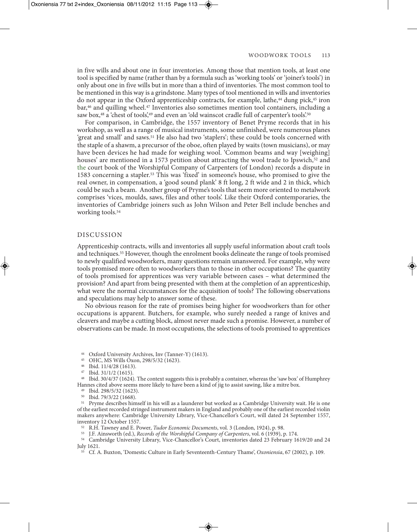in five wills and about one in four inventories. Among those that mention tools, at least one tool is specified by name (rather than by a formula such as 'working tools' or 'joiner's tools') in only about one in five wills but in more than a third of inventories. The most common tool to be mentioned in this way is a grindstone. Many types of tool mentioned in wills and inventories do not appear in the Oxford apprenticeship contracts, for example, lathe,<sup>44</sup> dung pick,<sup>45</sup> iron bar,46 and quilling wheel.47 Inventories also sometimes mention tool containers, including a saw box,<sup>48</sup> a 'chest of tools',<sup>49</sup> and even an 'old wainscot cradle full of carpenter's tools'.<sup>50</sup>

For comparison, in Cambridge, the 1557 inventory of Benet Pryme records that in his workshop, as well as a range of musical instruments, some unfinished, were numerous planes 'great and small' and saws.51 He also had two 'staplers'; these could be tools concerned with the staple of a shawm, a precursor of the oboe, often played by waits (town musicians), or may have been devices he had made for weighing wool. 'Common beams and way [weighing] houses' are mentioned in a 1573 petition about attracting the wool trade to Ipswich,<sup>52</sup> and the court book of the Worshipful Company of Carpenters (of London) records a dispute in 1583 concerning a stapler.53 This was 'fixed' in someone's house, who promised to give the real owner, in compensation, a 'good sound plank' 8 ft long, 2 ft wide and 2 in thick, which could be such a beam. Another group of Pryme's tools that seem more oriented to metalwork comprises 'vices, moulds, saws, files and other tools'. Like their Oxford contemporaries, the inventories of Cambridge joiners such as John Wilson and Peter Bell include benches and working tools.54

#### DISCUSSION

Apprenticeship contracts, wills and inventories all supply useful information about craft tools and techniques.55 However, though the enrolment books delineate the range of tools promised to newly qualified woodworkers, many questions remain unanswered. For example, why were tools promised more often to woodworkers than to those in other occupations? The quantity of tools promised for apprentices was very variable between cases – what determined the provision? And apart from being presented with them at the completion of an apprenticeship, what were the normal circumstances for the acquisition of tools? The following observations and speculations may help to answer some of these.

No obvious reason for the rate of promises being higher for woodworkers than for other occupations is apparent. Butchers, for example, who surely needed a range of knives and cleavers and maybe a cutting block, almost never made such a promise. However, a number of observations can be made. In most occupations, the selections of tools promised to apprentices

<sup>44</sup> Oxford University Archives, Inv (Tanner-Y) (1613).

<sup>48</sup> Ibid. 30/4/37 (1624). The context suggests this is probably a container, whereas the 'saw box' of Humphrey Hannes cited above seems more likely to have been a kind of jig to assist sawing, like a mitre box.

<sup>51</sup> Pryme describes himself in his will as a launderer but worked as a Cambridge University wait. He is one of the earliest recorded stringed instrument makers in England and probably one of the earliest recorded violin makers anywhere: Cambridge University Library, Vice-Chancellor's Court, will dated 24 September 1557, inventory 12 October 1557.

<sup>52</sup> R.H. Tawney and E. Power, *Tudor Economic Documents*, vol. 3 (London, 1924), p. 98.

<sup>53</sup> J.F. Ainsworth (ed.), *Records of the Worshipful Company of Carpenters*, vol. 6 (1939), p. 174.

<sup>54</sup> Cambridge University Library, Vice-Chancellor's Court, inventories dated 23 February 1619/20 and 24 July 1621.

<sup>55</sup> Cf. A. Buxton, 'Domestic Culture in Early Seventeenth-Century Thame', *Oxoniensia*, 67 (2002), p. 109.

<sup>45</sup> OHC, MS Wills Oxon, 298/5/32 (1623).

<sup>46</sup> Ibid. 11/4/28 (1613).

<sup>47</sup> Ibid. 31/1/2 (1615).

<sup>49</sup> Ibid. 298/5/32 (1623). <sup>50</sup> Ibid. 79/3/22 (1668).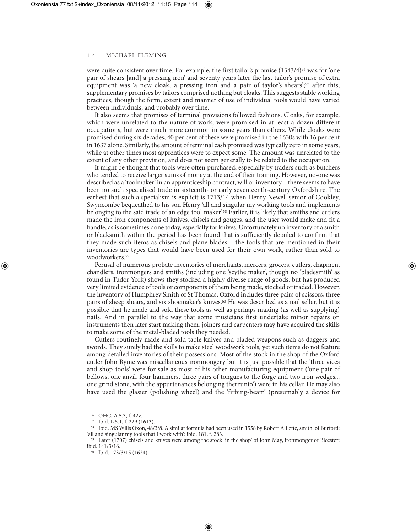were quite consistent over time. For example, the first tailor's promise  $(1543/4)^{56}$  was for 'one pair of shears [and] a pressing iron' and seventy years later the last tailor's promise of extra equipment was 'a new cloak, a pressing iron and a pair of taylor's shears';<sup>57</sup> after this, supplementary promises by tailors comprised nothing but cloaks. This suggests stable working practices, though the form, extent and manner of use of individual tools would have varied between individuals, and probably over time.

It also seems that promises of terminal provisions followed fashions. Cloaks, for example, which were unrelated to the nature of work, were promised in at least a dozen different occupations, but were much more common in some years than others. While cloaks were promised during six decades, 40 per cent of these were promised in the 1630s with 16 per cent in 1637 alone. Similarly, the amount of terminal cash promised was typically zero in some years, while at other times most apprentices were to expect some. The amount was unrelated to the extent of any other provision, and does not seem generally to be related to the occupation.

It might be thought that tools were often purchased, especially by traders such as butchers who tended to receive larger sums of money at the end of their training. However, no-one was described as a 'toolmaker' in an apprenticeship contract, will or inventory – there seems to have been no such specialised trade in sixteenth- or early seventeenth-century Oxfordshire. The earliest that such a specialism is explicit is 1713/14 when Henry Newell senior of Cookley, Swyncombe bequeathed to his son Henry 'all and singular my working tools and implements belonging to the said trade of an edge tool maker'.58 Earlier, it is likely that smiths and cutlers made the iron components of knives, chisels and gouges, and the user would make and fit a handle, as is sometimes done today, especially for knives. Unfortunately no inventory of a smith or blacksmith within the period has been found that is sufficiently detailed to confirm that they made such items as chisels and plane blades – the tools that are mentioned in their inventories are types that would have been used for their own work, rather than sold to woodworkers<sup>59</sup>

Perusal of numerous probate inventories of merchants, mercers, grocers, cutlers, chapmen, chandlers, ironmongers and smiths (including one 'scythe maker', though no 'bladesmith' as found in Tudor York) shows they stocked a highly diverse range of goods, but has produced very limited evidence of tools or components of them being made, stocked or traded. However, the inventory of Humphrey Smith of St Thomas, Oxford includes three pairs of scissors, three pairs of sheep shears, and six shoemaker's knives.60 He was described as a nail seller, but it is possible that he made and sold these tools as well as perhaps making (as well as supplying) nails. And in parallel to the way that some musicians first undertake minor repairs on instruments then later start making them, joiners and carpenters may have acquired the skills to make some of the metal-bladed tools they needed.

Cutlers routinely made and sold table knives and bladed weapons such as daggers and swords. They surely had the skills to make steel woodwork tools, yet such items do not feature among detailed inventories of their possessions. Most of the stock in the shop of the Oxford cutler John Ryme was miscellaneous ironmongery but it is just possible that the 'three vices and shop-tools' were for sale as most of his other manufacturing equipment ('one pair of bellows, one anvil, four hammers, three pairs of tongues to the forge and two iron wedges... one grind stone, with the appurtenances belonging thereunto') were in his cellar. He may also have used the glasier (polishing wheel) and the 'firbing-beam' (presumably a device for

<sup>56</sup> OHC, A.5.3, f. 42v.

<sup>57</sup> Ibid. L.5.1, f. 229 (1613).

<sup>58</sup> Ibid. MS Wills Oxon, 48/3/8. A similar formula had been used in 1558 by Robert Alflette, smith, of Burford: 'all and singular my tools that I work with': ibid. 181, f. 283.

<sup>59</sup> Later (1707) chisels and knives were among the stock 'in the shop' of John May, ironmonger of Bicester: ibid. 141/3/16.

<sup>60</sup> Ibid. 173/3/15 (1624).